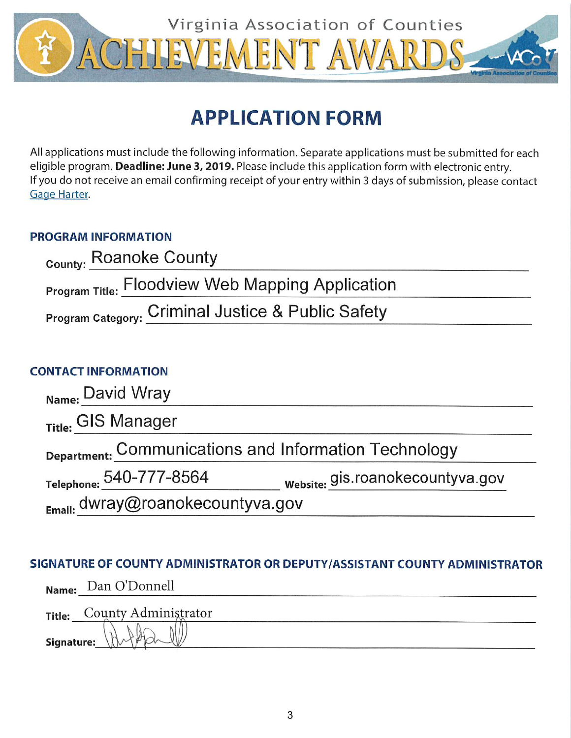

# **APPLICATION FORM**

All applications must include the following information. Separate applications must be submitted for each eligible program. Deadline: June 3, 2019. Please include this application form with electronic entry. If you do not receive an email confirming receipt of your entry within 3 days of submission, please contact Gage Harter.

## **PROGRAM INFORMATION**

| County: Roanoke County                                  |  |
|---------------------------------------------------------|--|
| <b>Program Title: Floodview Web Mapping Application</b> |  |
| Program Category: Criminal Justice & Public Safety      |  |

## **CONTACT INFORMATION**

| Name: David Wray                                      |                                  |
|-------------------------------------------------------|----------------------------------|
| Title: GIS Manager                                    |                                  |
| Department: Communications and Information Technology |                                  |
| Telephone: 540-777-8564                               | website: gis.roanokecountyva.gov |
| $_{Email:}$ dwray@roanokecountyva.gov                 |                                  |

## SIGNATURE OF COUNTY ADMINISTRATOR OR DEPUTY/ASSISTANT COUNTY ADMINISTRATOR

|            | Name: Dan O'Donnell         |
|------------|-----------------------------|
|            | Title: County Administrator |
| Signature: | $W_{\nu}$                   |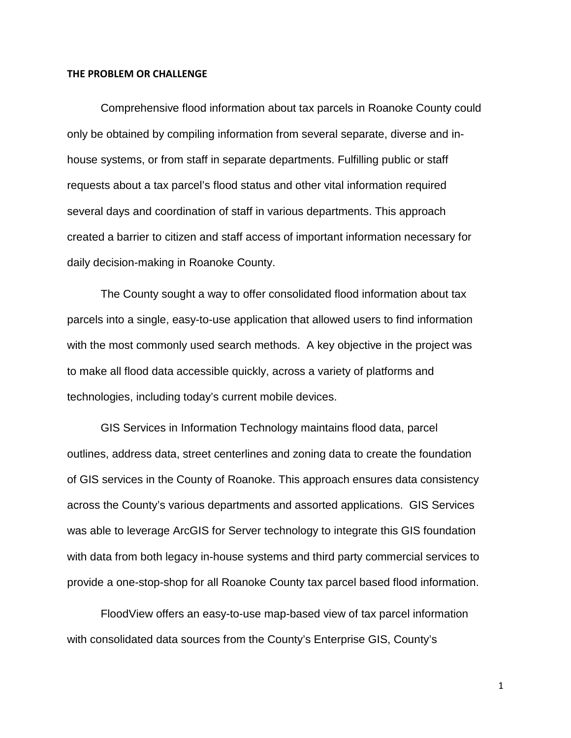#### **THE PROBLEM OR CHALLENGE**

Comprehensive flood information about tax parcels in Roanoke County could only be obtained by compiling information from several separate, diverse and inhouse systems, or from staff in separate departments. Fulfilling public or staff requests about a tax parcel's flood status and other vital information required several days and coordination of staff in various departments. This approach created a barrier to citizen and staff access of important information necessary for daily decision-making in Roanoke County.

The County sought a way to offer consolidated flood information about tax parcels into a single, easy-to-use application that allowed users to find information with the most commonly used search methods. A key objective in the project was to make all flood data accessible quickly, across a variety of platforms and technologies, including today's current mobile devices.

GIS Services in Information Technology maintains flood data, parcel outlines, address data, street centerlines and zoning data to create the foundation of GIS services in the County of Roanoke. This approach ensures data consistency across the County's various departments and assorted applications. GIS Services was able to leverage ArcGIS for Server technology to integrate this GIS foundation with data from both legacy in-house systems and third party commercial services to provide a one-stop-shop for all Roanoke County tax parcel based flood information.

FloodView offers an easy-to-use map-based view of tax parcel information with consolidated data sources from the County's Enterprise GIS, County's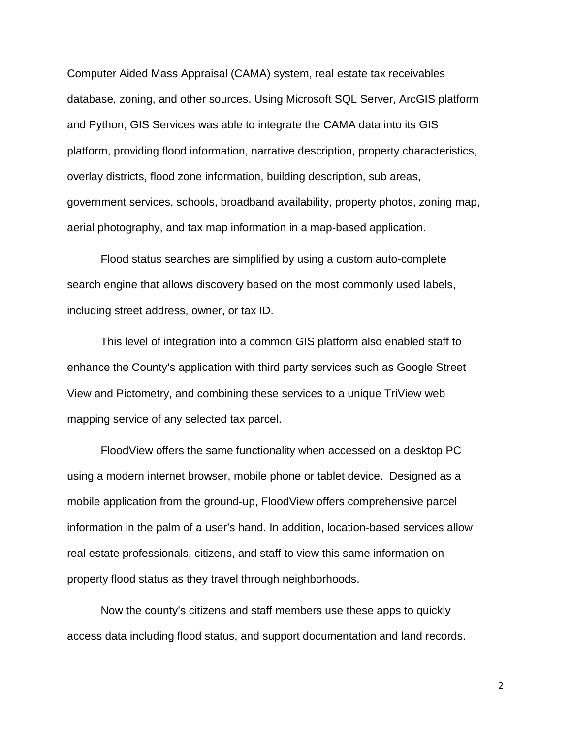Computer Aided Mass Appraisal (CAMA) system, real estate tax receivables database, zoning, and other sources. Using Microsoft SQL Server, ArcGIS platform and Python, GIS Services was able to integrate the CAMA data into its GIS platform, providing flood information, narrative description, property characteristics, overlay districts, flood zone information, building description, sub areas, government services, schools, broadband availability, property photos, zoning map, aerial photography, and tax map information in a map-based application.

Flood status searches are simplified by using a custom auto-complete search engine that allows discovery based on the most commonly used labels, including street address, owner, or tax ID.

This level of integration into a common GIS platform also enabled staff to enhance the County's application with third party services such as Google Street View and Pictometry, and combining these services to a unique TriView web mapping service of any selected tax parcel.

FloodView offers the same functionality when accessed on a desktop PC using a modern internet browser, mobile phone or tablet device. Designed as a mobile application from the ground-up, FloodView offers comprehensive parcel information in the palm of a user's hand. In addition, location-based services allow real estate professionals, citizens, and staff to view this same information on property flood status as they travel through neighborhoods.

Now the county's citizens and staff members use these apps to quickly access data including flood status, and support documentation and land records.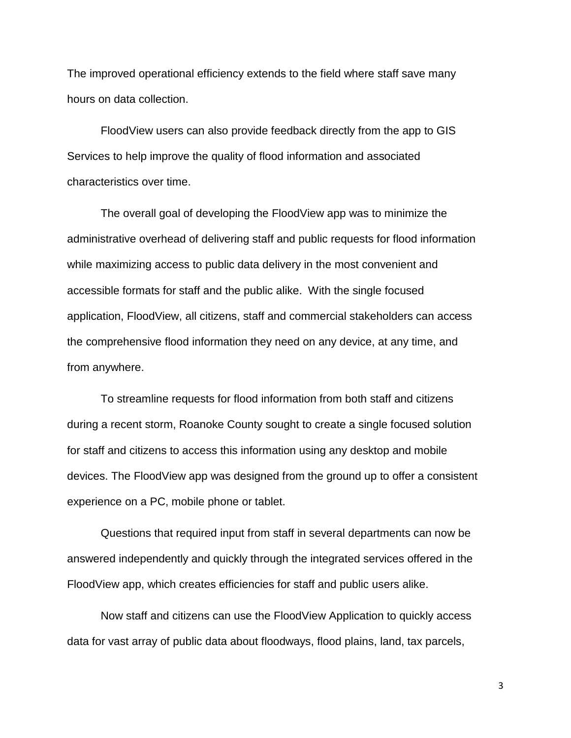The improved operational efficiency extends to the field where staff save many hours on data collection.

FloodView users can also provide feedback directly from the app to GIS Services to help improve the quality of flood information and associated characteristics over time.

The overall goal of developing the FloodView app was to minimize the administrative overhead of delivering staff and public requests for flood information while maximizing access to public data delivery in the most convenient and accessible formats for staff and the public alike. With the single focused application, FloodView, all citizens, staff and commercial stakeholders can access the comprehensive flood information they need on any device, at any time, and from anywhere.

To streamline requests for flood information from both staff and citizens during a recent storm, Roanoke County sought to create a single focused solution for staff and citizens to access this information using any desktop and mobile devices. The FloodView app was designed from the ground up to offer a consistent experience on a PC, mobile phone or tablet.

Questions that required input from staff in several departments can now be answered independently and quickly through the integrated services offered in the FloodView app, which creates efficiencies for staff and public users alike.

Now staff and citizens can use the FloodView Application to quickly access data for vast array of public data about floodways, flood plains, land, tax parcels,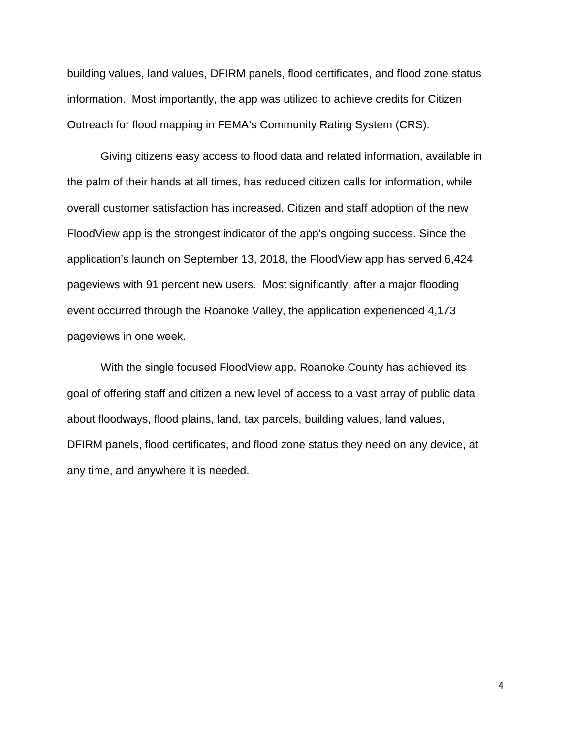building values, land values, DFIRM panels, flood certificates, and flood zone status information. Most importantly, the app was utilized to achieve credits for Citizen Outreach for flood mapping in FEMA's Community Rating System (CRS).

Giving citizens easy access to flood data and related information, available in the palm of their hands at all times, has reduced citizen calls for information, while overall customer satisfaction has increased. Citizen and staff adoption of the new FloodView app is the strongest indicator of the app's ongoing success. Since the application's launch on September 13, 2018, the FloodView app has served 6,424 pageviews with 91 percent new users. Most significantly, after a major flooding event occurred through the Roanoke Valley, the application experienced 4,173 pageviews in one week.

With the single focused FloodView app, Roanoke County has achieved its goal of offering staff and citizen a new level of access to a vast array of public data about floodways, flood plains, land, tax parcels, building values, land values, DFIRM panels, flood certificates, and flood zone status they need on any device, at any time, and anywhere it is needed.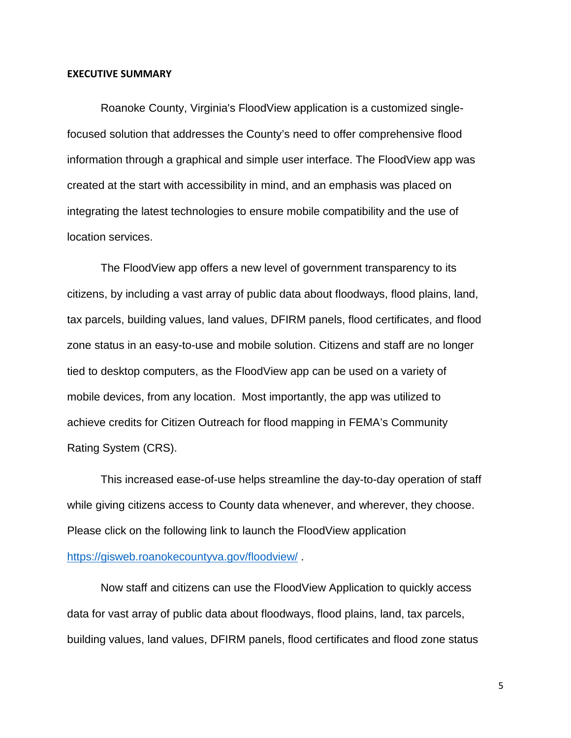#### **EXECUTIVE SUMMARY**

Roanoke County, Virginia's FloodView application is a customized singlefocused solution that addresses the County's need to offer comprehensive flood information through a graphical and simple user interface. The FloodView app was created at the start with accessibility in mind, and an emphasis was placed on integrating the latest technologies to ensure mobile compatibility and the use of location services.

The FloodView app offers a new level of government transparency to its citizens, by including a vast array of public data about floodways, flood plains, land, tax parcels, building values, land values, DFIRM panels, flood certificates, and flood zone status in an easy-to-use and mobile solution. Citizens and staff are no longer tied to desktop computers, as the FloodView app can be used on a variety of mobile devices, from any location. Most importantly, the app was utilized to achieve credits for Citizen Outreach for flood mapping in FEMA's Community Rating System (CRS).

This increased ease-of-use helps streamline the day-to-day operation of staff while giving citizens access to County data whenever, and wherever, they choose. Please click on the following link to launch the FloodView application <https://gisweb.roanokecountyva.gov/floodview/> .

Now staff and citizens can use the FloodView Application to quickly access data for vast array of public data about floodways, flood plains, land, tax parcels, building values, land values, DFIRM panels, flood certificates and flood zone status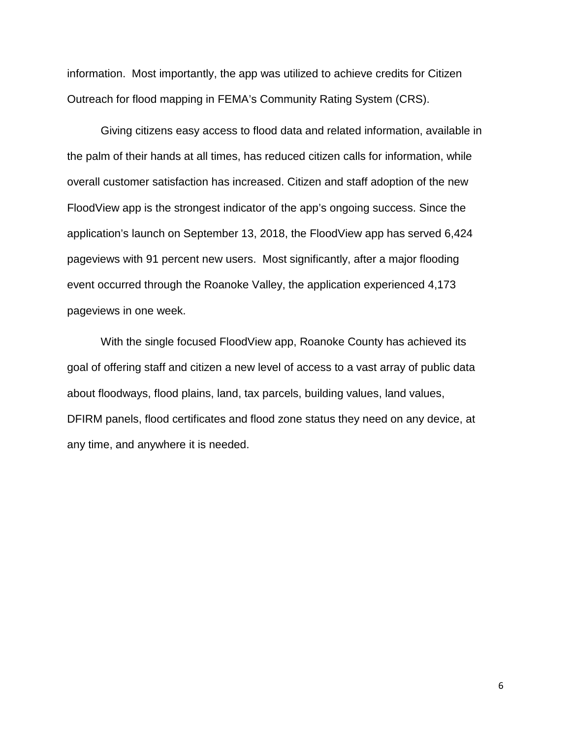information. Most importantly, the app was utilized to achieve credits for Citizen Outreach for flood mapping in FEMA's Community Rating System (CRS).

Giving citizens easy access to flood data and related information, available in the palm of their hands at all times, has reduced citizen calls for information, while overall customer satisfaction has increased. Citizen and staff adoption of the new FloodView app is the strongest indicator of the app's ongoing success. Since the application's launch on September 13, 2018, the FloodView app has served 6,424 pageviews with 91 percent new users. Most significantly, after a major flooding event occurred through the Roanoke Valley, the application experienced 4,173 pageviews in one week.

With the single focused FloodView app, Roanoke County has achieved its goal of offering staff and citizen a new level of access to a vast array of public data about floodways, flood plains, land, tax parcels, building values, land values, DFIRM panels, flood certificates and flood zone status they need on any device, at any time, and anywhere it is needed.